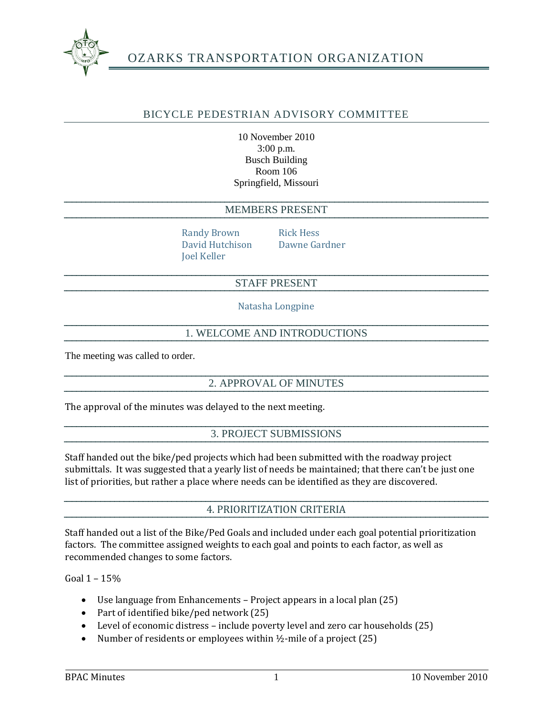

# OZARKS TRANSPORTATION ORGANIZATION

## BICYCLE PEDESTRIAN ADVISORY COMMITTEE

10 November 2010 3:00 p.m. Busch Building Room 106 Springfield, Missouri

#### MEMBERS PRESENT

Randy Brown Rick Hess David Hutchison Dawne Gardner Joel Keller

## STAFF PRESENT

Natasha Longpine

## 1. WELCOME AND INTRODUCTIONS

The meeting was called to order.

#### 2. APPROVAL OF MINUTES

The approval of the minutes was delayed to the next meeting.

#### 3. PROJECT SUBMISSIONS

Staff handed out the bike/ped projects which had been submitted with the roadway project submittals. It was suggested that a yearly list of needs be maintained; that there can't be just one list of priorities, but rather a place where needs can be identified as they are discovered.

#### 4. PRIORITIZATION CRITERIA

Staff handed out a list of the Bike/Ped Goals and included under each goal potential prioritization factors. The committee assigned weights to each goal and points to each factor, as well as recommended changes to some factors.

Goal 1 – 15%

- Use language from Enhancements Project appears in a local plan (25)
- Part of identified bike/ped network (25)
- Level of economic distress include poverty level and zero car households (25)
- Number of residents or employees within  $\frac{1}{2}$ -mile of a project (25)